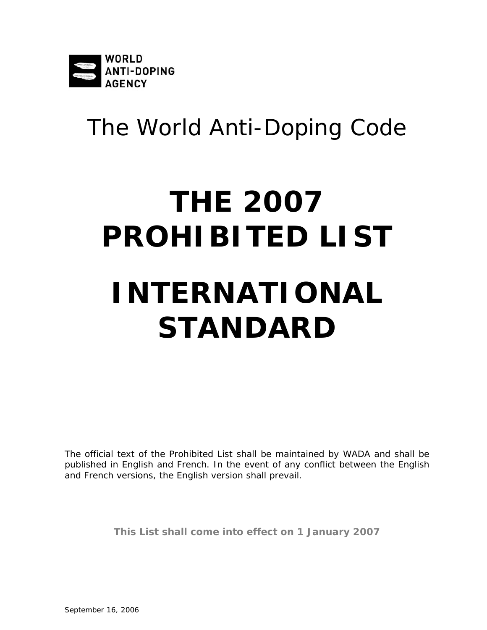

## The World Anti-Doping Code

# **THE 2007 PROHIBITED LIST**

## **INTERNATIONAL STANDARD**

The official text of the *Prohibited List* shall be maintained by *WADA* and shall be published in English and French. In the event of any conflict between the English and French versions, the English version shall prevail.

**This List shall come into effect on 1 January 2007**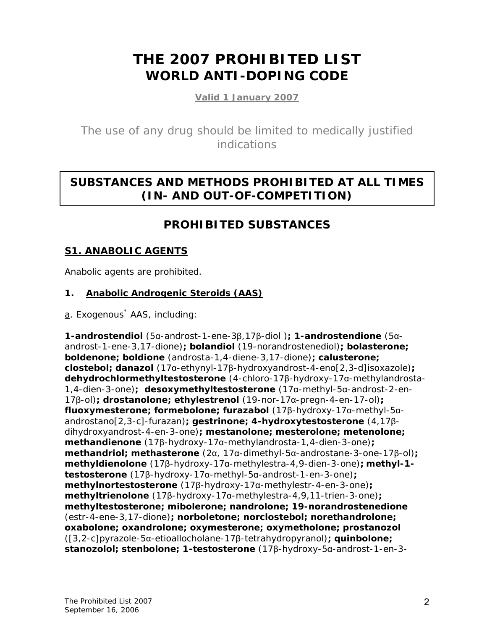## **THE 2007 PROHIBITED LIST WORLD ANTI-DOPING CODE**

**Valid 1 January 2007**

The use of any drug should be limited to medically justified indications

## **SUBSTANCES AND METHODS PROHIBITED AT ALL TIMES (IN- AND OUT-OF-COMPETITION)**

### **PROHIBITED SUBSTANCES**

#### **S1. ANABOLIC AGENTS**

Anabolic agents are prohibited.

#### **1. Anabolic Androgenic Steroids (AAS)**

a. Exogenous<sup>\*</sup> AAS, including:

**1-androstendiol** (5α-androst-1-ene-3β,17β-diol )**; 1-androstendione** (5αandrost-1-ene-3,17-dione)**; bolandiol** (19-norandrostenediol)**; bolasterone; boldenone; boldione** (androsta-1,4-diene-3,17-dione)**; calusterone; clostebol; danazol** (17α-ethynyl-17β-hydroxyandrost-4-eno[2,3-d]isoxazole)**; dehydrochlormethyltestosterone** (4-chloro-17β-hydroxy-17α-methylandrosta-1,4-dien-3-one)**; desoxymethyltestosterone** (17α-methyl-5α-androst-2-en-17β-ol)**; drostanolone; ethylestrenol** (19-nor-17α-pregn-4-en-17-ol)**; fluoxymesterone; formebolone; furazabol** (17β-hydroxy-17α-methyl-5αandrostano[2,3-c]-furazan)**; gestrinone; 4-hydroxytestosterone** (4,17βdihydroxyandrost-4-en-3-one)**; mestanolone; mesterolone; metenolone; methandienone** (17β-hydroxy-17α-methylandrosta-1,4-dien-3-one)**; methandriol; methasterone** (2α, 17α-dimethyl-5α-androstane-3-one-17β-ol)**; methyldienolone** (17β-hydroxy-17α-methylestra-4,9-dien-3-one)**; methyl-1 testosterone** (17β-hydroxy-17α-methyl-5α-androst-1-en-3-one)**; methylnortestosterone** (17β-hydroxy-17α-methylestr-4-en-3-one)**; methyltrienolone** (17β-hydroxy-17α-methylestra-4,9,11-trien-3-one)**; methyltestosterone; mibolerone; nandrolone; 19-norandrostenedione**  (estr-4-ene-3,17-dione)**; norboletone; norclostebol; norethandrolone; oxabolone; oxandrolone; oxymesterone; oxymetholone; prostanozol**  ([3,2-c]pyrazole-5α-etioallocholane-17β-tetrahydropyranol)**; quinbolone; stanozolol; stenbolone; 1-testosterone** (17β-hydroxy-5α-androst-1-en-3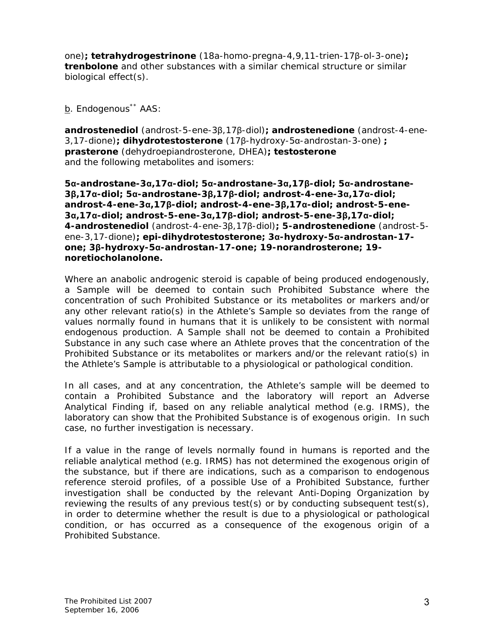one)**; tetrahydrogestrinone** (18a-homo-pregna-4,9,11-trien-17β-ol-3-one)**; trenbolone** and other substances with a similar chemical structure or similar biological effect(s).

#### b. Endogenous<sup>\*\*</sup> AAS:

**androstenediol** (androst-5-ene-3β,17β-diol)**; androstenedione** (androst-4-ene-3,17-dione)**; dihydrotestosterone** (17β-hydroxy-5α-androstan-3-one) **; prasterone** (dehydroepiandrosterone, DHEA)**; testosterone** and the following metabolites and isomers:

**5α-androstane-3α,17α-diol; 5α-androstane-3α,17β-diol; 5α-androstane-3β,17α-diol; 5α-androstane-3β,17β-diol; androst-4-ene-3α,17α-diol; androst-4-ene-3α,17β-diol; androst-4-ene-3β,17α-diol; androst-5-ene-3α,17α-diol; androst-5-ene-3α,17β-diol; androst-5-ene-3β,17α-diol; 4-androstenediol** (androst-4-ene-3β,17β-diol)**; 5-androstenedione** (androst-5 ene-3,17-dione)**; epi-dihydrotestosterone; 3α-hydroxy-5α-androstan-17 one; 3β-hydroxy-5α-androstan-17-one; 19-norandrosterone; 19 noretiocholanolone.**

Where an anabolic androgenic steroid is capable of being produced endogenously, a *Sample* will be deemed to contain such *Prohibited Substance* where the concentration of such *Prohibited Substance* or its metabolites or markers and/or any other relevant ratio(s) in the *Athlete*'s *Sample* so deviates from the range of values normally found in humans that it is unlikely to be consistent with normal endogenous production. A *Sample* shall not be deemed to contain a *Prohibited Substance* in any such case where an *Athlete* proves that the concentration of the *Prohibited Substance* or its metabolites or markers and/or the relevant ratio(s) in the *Athlete*'s *Sample* is attributable to a physiological or pathological condition.

In all cases, and at any concentration, the *Athlete*'s sample will be deemed to contain a *Prohibited Substance* and the laboratory will report an *Adverse Analytical Finding* if, based on any reliable analytical method (e.g. IRMS), the laboratory can show that the *Prohibited Substance* is of exogenous origin. In such case, no further investigation is necessary.

If a value in the range of levels normally found in humans is reported and the reliable analytical method (e.g. IRMS) has not determined the exogenous origin of the substance, but if there are indications, such as a comparison to endogenous reference steroid profiles, of a possible *Use* of a *Prohibited Substance,* further investigation shall be conducted by the relevant *Anti-Doping Organization* by reviewing the results of any previous test(s) or by conducting subsequent test(s), in order to determine whether the result is due to a physiological or pathological condition, or has occurred as a consequence of the exogenous origin of a *Prohibited Substance*.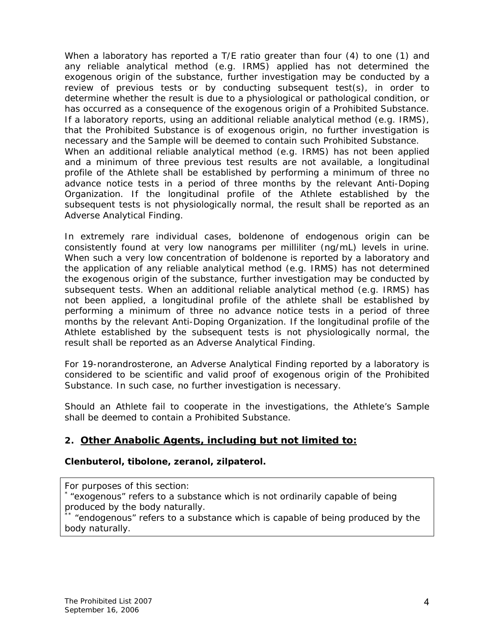When a laboratory has reported a T/E ratio greater than four (4) to one (1) and any reliable analytical method (e.g. IRMS) applied has not determined the exogenous origin of the substance, further investigation may be conducted by a review of previous tests or by conducting subsequent test(s), in order to determine whether the result is due to a physiological or pathological condition, or has occurred as a consequence of the exogenous origin of a *Prohibited Substance*. If a laboratory reports, using an additional reliable analytical method (e.g. IRMS), that the *Prohibited Substance* is of exogenous origin, no further investigation is necessary and the *Sample* will be deemed to contain such *Prohibited Substance*. When an additional reliable analytical method (e.g. IRMS) has not been applied and a minimum of three previous test results are not available, a longitudinal profile of the *Athlete* shall be established by performing a minimum of three no advance notice tests in a period of three months by the relevant *Anti-Doping Organization*. If the longitudinal profile of the *Athlete* established by the subsequent tests is not physiologically normal, the result shall be reported as an *Adverse Analytical Finding*.

In extremely rare individual cases, boldenone of endogenous origin can be consistently found at very low nanograms per milliliter (ng/mL) levels in urine. When such a very low concentration of boldenone is reported by a laboratory and the application of any reliable analytical method (e.g. IRMS) has not determined the exogenous origin of the substance, further investigation may be conducted by subsequent tests. When an additional reliable analytical method (e.g. IRMS) has not been applied, a longitudinal profile of the athlete shall be established by performing a minimum of three no advance notice tests in a period of three months by the relevant *Anti-Doping Organization*. If the longitudinal profile of the *Athlete* established by the subsequent tests is not physiologically normal, the result shall be reported as an *Adverse Analytical Finding*.

For 19-norandrosterone, an *Adverse Analytical Finding* reported by a laboratory is considered to be scientific and valid proof of exogenous origin of the *Prohibited Substance*. In such case, no further investigation is necessary.

Should an *Athlete* fail to cooperate in the investigations, the *Athlete*'s *Sample* shall be deemed to contain a *Prohibited Substance*.

#### **2. Other Anabolic Agents, including but not limited to:**

#### **Clenbuterol, tibolone, zeranol, zilpaterol.**

*For purposes of this section:* 

\* *"exogenous" refers to a substance which is not ordinarily capable of being produced by the body naturally.*

\*\* *"endogenous" refers to a substance which is capable of being produced by the body naturally.*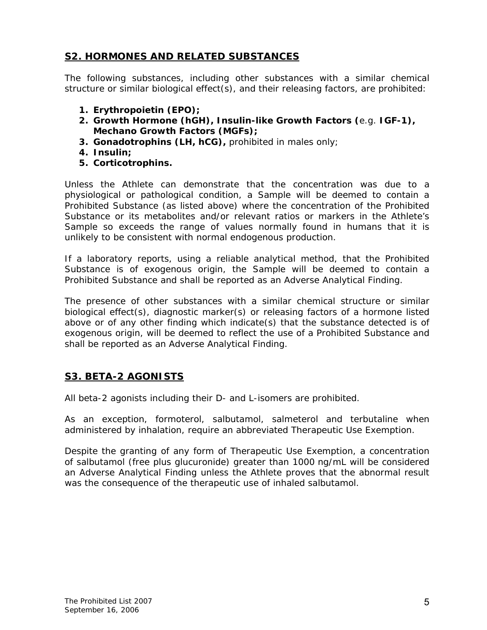#### **S2. HORMONES AND RELATED SUBSTANCES**

The following substances, including other substances with a similar chemical structure or similar biological effect(s), and their releasing factors, are prohibited:

- **1. Erythropoietin (EPO);**
- **2. Growth Hormone (hGH), Insulin-like Growth Factors (**e.g. **IGF-1), Mechano Growth Factors (MGFs);**
- **3. Gonadotrophins (LH, hCG),** prohibited in males only;
- **4. Insulin;**
- **5. Corticotrophins.**

Unless the *Athlete* can demonstrate that the concentration was due to a physiological or pathological condition, a *Sample* will be deemed to contain a *Prohibited Substance* (as listed above) where the concentration of the *Prohibited Substance* or its metabolites and/or relevant ratios or markers in the *Athlete*'s *Sample* so exceeds the range of values normally found in humans that it is unlikely to be consistent with normal endogenous production.

If a laboratory reports, using a reliable analytical method, that the *Prohibited Substance* is of exogenous origin, the *Sample* will be deemed to contain a *Prohibited Substance* and shall be reported as an *Adverse Analytical Finding*.

The presence of other substances with a similar chemical structure or similar biological effect(s), diagnostic marker(s) or releasing factors of a hormone listed above or of any other finding which indicate(s) that the substance detected is of exogenous origin, will be deemed to reflect the use of a *Prohibited Substance* and shall be reported as an *Adverse Analytical Finding*.

#### **S3. BETA-2 AGONISTS**

All beta-2 agonists including their D- and L-isomers are prohibited.

As an exception, formoterol, salbutamol, salmeterol and terbutaline when administered by inhalation, require an abbreviated Therapeutic Use Exemption.

Despite the granting of any form of Therapeutic Use Exemption, a concentration of salbutamol (free plus glucuronide) greater than 1000 ng/mL will be considered an *Adverse Analytical Finding* unless the *Athlete* proves that the abnormal result was the consequence of the therapeutic use of inhaled salbutamol.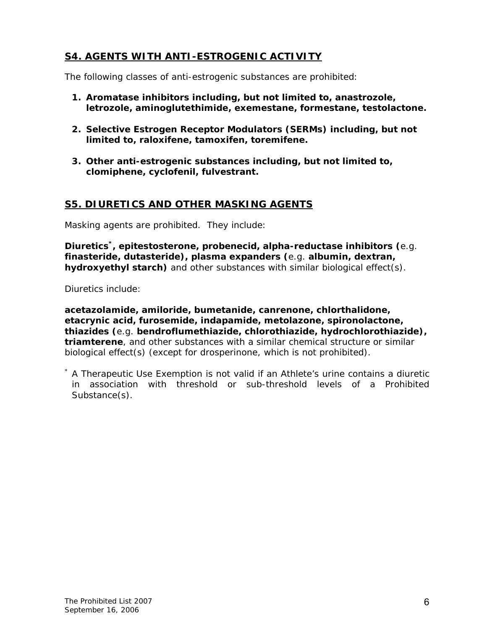#### **S4. AGENTS WITH ANTI-ESTROGENIC ACTIVITY**

The following classes of anti-estrogenic substances are prohibited:

- **1. Aromatase inhibitors including, but not limited to, anastrozole, letrozole, aminoglutethimide, exemestane, formestane, testolactone.**
- **2. Selective Estrogen Receptor Modulators (SERMs) including, but not limited to, raloxifene, tamoxifen, toremifene.**
- **3. Other anti-estrogenic substances including, but not limited to, clomiphene, cyclofenil, fulvestrant.**

#### **S5. DIURETICS AND OTHER MASKING AGENTS**

Masking agents are prohibited. They include:

**Diuretics\* , epitestosterone, probenecid, alpha-reductase inhibitors (**e.g. **finasteride, dutasteride), plasma expanders (**e.g. **albumin, dextran, hydroxyethyl starch)** and other substances with similar biological effect(s).

Diuretics include:

**acetazolamide, amiloride, bumetanide, canrenone, chlorthalidone, etacrynic acid, furosemide, indapamide, metolazone, spironolactone, thiazides (**e.g. **bendroflumethiazide, chlorothiazide, hydrochlorothiazide), triamterene**, and other substances with a similar chemical structure or similar biological effect(s) (except for drosperinone, which is not prohibited).

\* A Therapeutic Use Exemption is not valid if an *Athlete*'s urine contains a diuretic in association with threshold or sub-threshold levels of a *Prohibited Substance*(s).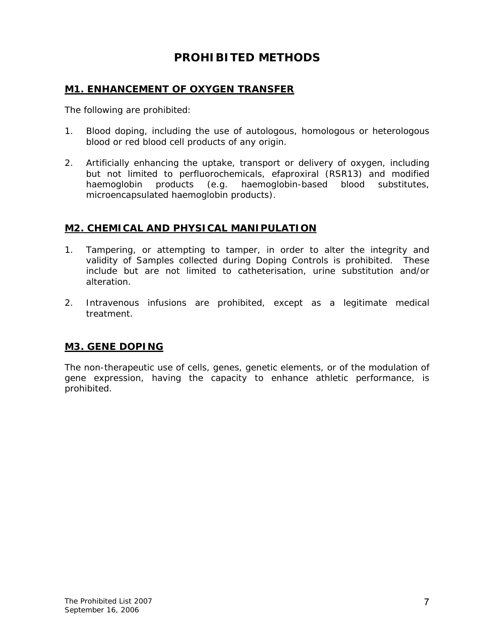### **PROHIBITED METHODS**

#### **M1. ENHANCEMENT OF OXYGEN TRANSFER**

The following are prohibited:

- 1. Blood doping, including the use of autologous, homologous or heterologous blood or red blood cell products of any origin.
- 2. Artificially enhancing the uptake, transport or delivery of oxygen, including but not limited to perfluorochemicals, efaproxiral (RSR13) and modified haemoglobin products (e.g. haemoglobin-based blood substitutes, microencapsulated haemoglobin products).

#### **M2. CHEMICAL AND PHYSICAL MANIPULATION**

- 1. *Tampering,* or attempting to tamper, in order to alter the integrity and validity of *Samples* collected during *Doping Controls* is prohibited. These include but are not limited to catheterisation, urine substitution and/or alteration.
- 2. Intravenous infusions are prohibited, except as a legitimate medical treatment.

#### **M3. GENE DOPING**

The non-therapeutic use of cells, genes, genetic elements, or of the modulation of gene expression, having the capacity to enhance athletic performance, is prohibited.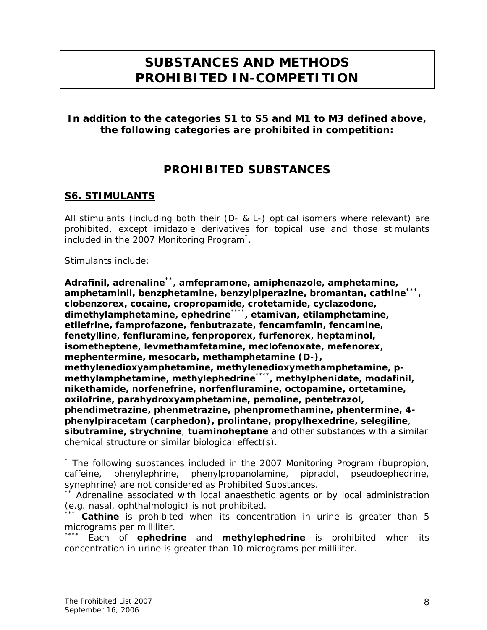## **SUBSTANCES AND METHODS PROHIBITED IN-COMPETITION**

#### **In addition to the categories S1 to S5 and M1 to M3 defined above, the following categories are prohibited in competition:**

#### **PROHIBITED SUBSTANCES**

#### **S6. STIMULANTS**

All stimulants (including both their (D- & L-) optical isomers where relevant) are prohibited, except imidazole derivatives for topical use and those stimulants included in the 2007 Monitoring Program\* .

Stimulants include:

**Adrafinil, adrenaline\*\*, amfepramone, amiphenazole, amphetamine, amphetaminil, benzphetamine, benzylpiperazine, bromantan, cathine\*\*\*, clobenzorex, cocaine, cropropamide, crotetamide, cyclazodone, dimethylamphetamine, ephedrine**\*\*\*\***, etamivan, etilamphetamine, etilefrine, famprofazone, fenbutrazate, fencamfamin, fencamine, fenetylline, fenfluramine, fenproporex, furfenorex, heptaminol, isometheptene, levmethamfetamine, meclofenoxate, mefenorex, mephentermine, mesocarb, methamphetamine (D-), methylenedioxyamphetamine, methylenedioxymethamphetamine, pmethylamphetamine, methylephedrine**\*\*\*\***, methylphenidate, modafinil, nikethamide, norfenefrine, norfenfluramine, octopamine, ortetamine, oxilofrine, parahydroxyamphetamine, pemoline, pentetrazol, phendimetrazine, phenmetrazine, phenpromethamine, phentermine, 4 phenylpiracetam (carphedon), prolintane, propylhexedrine, selegiline**, **sibutramine, strychnine**, **tuaminoheptane** and other substances with a similar chemical structure or similar biological effect(s).

\* The following substances included in the 2007 Monitoring Program (bupropion, caffeine, phenylephrine, phenylpropanolamine, pipradol, pseudoephedrine, synephrine) are not considered as *Prohibited Substances*.

Adrenaline associated with local anaesthetic agents or by local administration (e.g. nasal, ophthalmologic) is not prohibited.

Cathine is prohibited when its concentration in urine is greater than 5 micrograms per milliliter.

Each of **ephedrine** and **methylephedrine** is prohibited when its concentration in urine is greater than 10 micrograms per milliliter.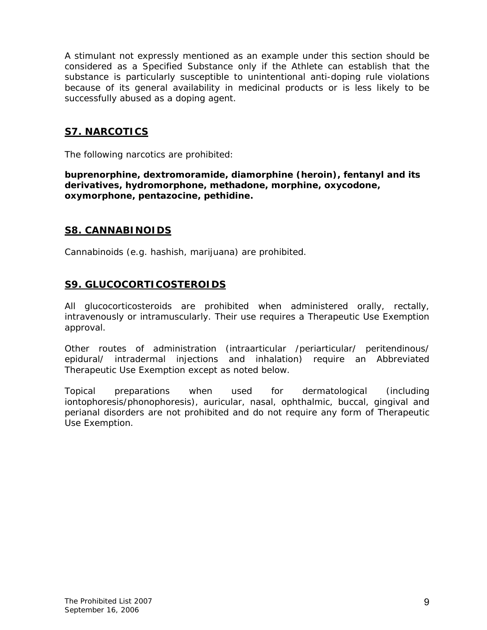A stimulant not expressly mentioned as an example under this section should be considered as a Specified Substance only if the *Athlete* can establish that the substance is particularly susceptible to unintentional anti-doping rule violations because of its general availability in medicinal products or is less likely to be successfully abused as a doping agent.

#### **S7. NARCOTICS**

The following narcotics are prohibited:

**buprenorphine, dextromoramide, diamorphine (heroin), fentanyl and its derivatives, hydromorphone, methadone, morphine, oxycodone, oxymorphone, pentazocine, pethidine.** 

#### **S8. CANNABINOIDS**

Cannabinoids (e.g. hashish, marijuana) are prohibited.

#### **S9. GLUCOCORTICOSTEROIDS**

All glucocorticosteroids are prohibited when administered orally, rectally, intravenously or intramuscularly. Their use requires a Therapeutic Use Exemption approval.

Other routes of administration (intraarticular /periarticular/ peritendinous/ epidural/ intradermal injections and inhalation) require an Abbreviated Therapeutic Use Exemption except as noted below.

Topical preparations when used for dermatological (including iontophoresis/phonophoresis), auricular, nasal, ophthalmic, buccal, gingival and perianal disorders are not prohibited and do not require any form of Therapeutic Use Exemption.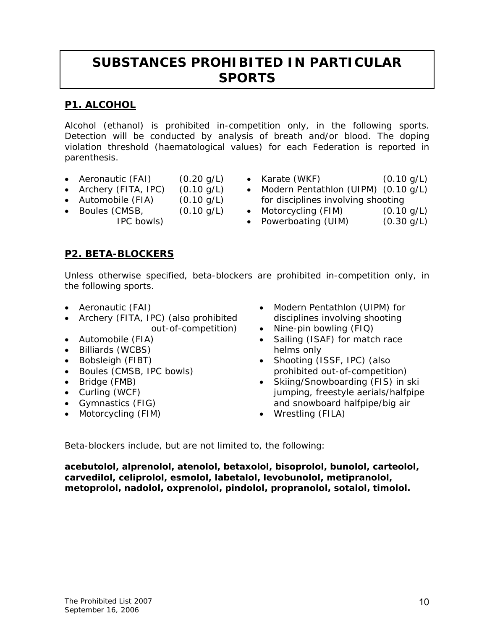## **SUBSTANCES PROHIBITED IN PARTICULAR SPORTS**

#### **P1. ALCOHOL**

Alcohol (ethanol) is prohibited *in-competition* only, in the following sports. Detection will be conducted by analysis of breath and/or blood. The doping violation threshold (haematological values) for each Federation is reported in parenthesis.

- Aeronautic (FAI) (0.20 g/L)
- Archery (FITA, IPC)  $(0.10 \text{ g/L})$
- Automobile (FIA) (0.10 g/L)
- Boules (CMSB, (0.10 g/L)
	- IPC bowls)
- Karate (WKF) (0.10 g/L)
- Modern Pentathlon (UIPM) (0.10 g/L) for disciplines involving shooting
- Motorcycling (FIM) (0.10 g/L)
- Powerboating (UIM) (0.30 g/L)

#### **P2. BETA-BLOCKERS**

Unless otherwise specified, beta-blockers are prohibited *in-competition* only, in the following sports.

- Aeronautic (FAI)
- Archery (FITA, IPC) (also prohibited *out-of-competition*)
- Automobile (FIA)
- Billiards (WCBS)
- Bobsleigh (FIBT)
- Boules (CMSB, IPC bowls)
- Bridge (FMB)
- Curling (WCF)
- Gymnastics (FIG)
- Motorcycling (FIM)
- Modern Pentathlon (UIPM) for disciplines involving shooting
- Nine-pin bowling (FIQ)
- Sailing (ISAF) for match race helms only
- Shooting (ISSF, IPC) (also prohibited *out-of-competition*)
- Skiing/Snowboarding (FIS) in ski jumping, freestyle aerials/halfpipe and snowboard halfpipe/big air
- Wrestling (FILA)

Beta-blockers include, but are not limited to, the following:

**acebutolol, alprenolol, atenolol, betaxolol, bisoprolol, bunolol, carteolol, carvedilol, celiprolol, esmolol, labetalol, levobunolol, metipranolol, metoprolol, nadolol, oxprenolol, pindolol, propranolol, sotalol, timolol.**